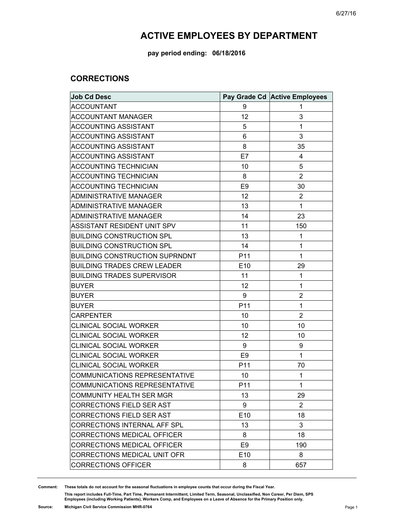#### **pay period ending: 06/18/2016**

#### **CORRECTIONS**

| <b>Job Cd Desc</b>                    |                 | Pay Grade Cd Active Employees |
|---------------------------------------|-----------------|-------------------------------|
| <b>ACCOUNTANT</b>                     | 9               | 1                             |
| <b>ACCOUNTANT MANAGER</b>             | 12              | 3                             |
| <b>ACCOUNTING ASSISTANT</b>           | 5               | 1                             |
| <b>ACCOUNTING ASSISTANT</b>           | 6               | 3                             |
| ACCOUNTING ASSISTANT                  | 8               | 35                            |
| <b>ACCOUNTING ASSISTANT</b>           | E7              | 4                             |
| <b>ACCOUNTING TECHNICIAN</b>          | 10              | 5                             |
| <b>ACCOUNTING TECHNICIAN</b>          | 8               | $\overline{2}$                |
| <b>ACCOUNTING TECHNICIAN</b>          | E <sub>9</sub>  | 30                            |
| <b>ADMINISTRATIVE MANAGER</b>         | 12              | $\overline{c}$                |
| ADMINISTRATIVE MANAGER                | 13              | 1                             |
| <b>ADMINISTRATIVE MANAGER</b>         | 14              | 23                            |
| ASSISTANT RESIDENT UNIT SPV           | 11              | 150                           |
| <b>BUILDING CONSTRUCTION SPL</b>      | 13              | 1                             |
| <b>BUILDING CONSTRUCTION SPL</b>      | 14              | 1                             |
| <b>BUILDING CONSTRUCTION SUPRNDNT</b> | P <sub>11</sub> | 1                             |
| <b>BUILDING TRADES CREW LEADER</b>    | E10             | 29                            |
| <b>BUILDING TRADES SUPERVISOR</b>     | 11              | 1                             |
| <b>BUYER</b>                          | 12              | 1                             |
| <b>BUYER</b>                          | 9               | $\overline{2}$                |
| <b>BUYER</b>                          | P11             | 1                             |
| <b>CARPENTER</b>                      | 10              | $\overline{2}$                |
| <b>CLINICAL SOCIAL WORKER</b>         | 10              | 10                            |
| <b>CLINICAL SOCIAL WORKER</b>         | 12              | 10                            |
| <b>CLINICAL SOCIAL WORKER</b>         | 9               | 9                             |
| <b>CLINICAL SOCIAL WORKER</b>         | E <sub>9</sub>  | $\mathbf{1}$                  |
| <b>CLINICAL SOCIAL WORKER</b>         | P11             | 70                            |
| COMMUNICATIONS REPRESENTATIVE         | 10              | 1                             |
| COMMUNICATIONS REPRESENTATIVE         | P11             | 1                             |
| <b>COMMUNITY HEALTH SER MGR</b>       | 13              | 29                            |
| <b>CORRECTIONS FIELD SER AST</b>      | 9               | $\overline{2}$                |
| <b>CORRECTIONS FIELD SER AST</b>      | E <sub>10</sub> | 18                            |
| <b>CORRECTIONS INTERNAL AFF SPL</b>   | 13              | 3                             |
| CORRECTIONS MEDICAL OFFICER           | 8               | 18                            |
| <b>CORRECTIONS MEDICAL OFFICER</b>    | E <sub>9</sub>  | 190                           |
| CORRECTIONS MEDICAL UNIT OFR          | E <sub>10</sub> | 8                             |
| <b>CORRECTIONS OFFICER</b>            | 8               | 657                           |

**Comment: These totals do not account for the seasonal fluctuations in employee counts that occur during the Fiscal Year.**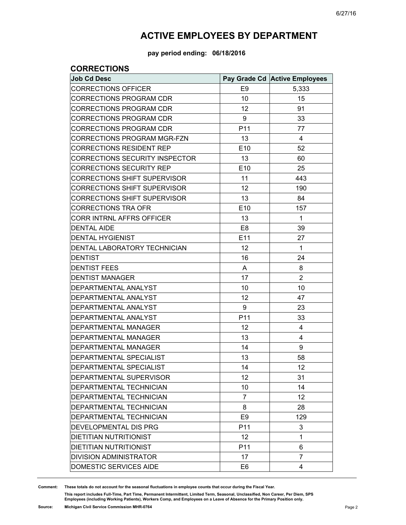**pay period ending: 06/18/2016**

### **CORRECTIONS**

| <b>Job Cd Desc</b>                  |                 | Pay Grade Cd Active Employees |
|-------------------------------------|-----------------|-------------------------------|
| <b>CORRECTIONS OFFICER</b>          | E <sub>9</sub>  | 5,333                         |
| <b>CORRECTIONS PROGRAM CDR</b>      | 10              | 15                            |
| <b>CORRECTIONS PROGRAM CDR</b>      | 12              | 91                            |
| <b>CORRECTIONS PROGRAM CDR</b>      | 9               | 33                            |
| <b>CORRECTIONS PROGRAM CDR</b>      | P11             | 77                            |
| <b>CORRECTIONS PROGRAM MGR-FZN</b>  | 13              | 4                             |
| <b>CORRECTIONS RESIDENT REP</b>     | E <sub>10</sub> | 52                            |
| CORRECTIONS SECURITY INSPECTOR      | 13              | 60                            |
| <b>CORRECTIONS SECURITY REP</b>     | E <sub>10</sub> | 25                            |
| <b>CORRECTIONS SHIFT SUPERVISOR</b> | 11              | 443                           |
| <b>CORRECTIONS SHIFT SUPERVISOR</b> | 12              | 190                           |
| <b>CORRECTIONS SHIFT SUPERVISOR</b> | 13              | 84                            |
| <b>CORRECTIONS TRA OFR</b>          | E <sub>10</sub> | 157                           |
| CORR INTRNL AFFRS OFFICER           | 13              | $\mathbf{1}$                  |
| <b>DENTAL AIDE</b>                  | E <sub>8</sub>  | 39                            |
| <b>DENTAL HYGIENIST</b>             | E11             | 27                            |
| DENTAL LABORATORY TECHNICIAN        | 12              | 1                             |
| <b>DENTIST</b>                      | 16              | 24                            |
| <b>DENTIST FEES</b>                 | A               | 8                             |
| <b>DENTIST MANAGER</b>              | 17              | $\overline{2}$                |
| DEPARTMENTAL ANALYST                | 10              | 10                            |
| DEPARTMENTAL ANALYST                | 12              | 47                            |
| DEPARTMENTAL ANALYST                | 9               | 23                            |
| DEPARTMENTAL ANALYST                | P11             | 33                            |
| DEPARTMENTAL MANAGER                | 12              | 4                             |
| <b>DEPARTMENTAL MANAGER</b>         | 13              | 4                             |
| DEPARTMENTAL MANAGER                | 14              | 9                             |
| DEPARTMENTAL SPECIALIST             | 13              | 58                            |
| DEPARTMENTAL SPECIALIST             | 14              | 12                            |
| DEPARTMENTAL SUPERVISOR             | 12              | 31                            |
| DEPARTMENTAL TECHNICIAN             | 10              | 14                            |
| DEPARTMENTAL TECHNICIAN             | $\overline{7}$  | 12                            |
| DEPARTMENTAL TECHNICIAN             | 8               | 28                            |
| DEPARTMENTAL TECHNICIAN             | E <sub>9</sub>  | 129                           |
| DEVELOPMENTAL DIS PRG               | P <sub>11</sub> | 3                             |
| <b>DIETITIAN NUTRITIONIST</b>       | 12              | 1                             |
| DIETITIAN NUTRITIONIST              | P <sub>11</sub> | 6                             |
| <b>DIVISION ADMINISTRATOR</b>       | 17              | 7                             |
| DOMESTIC SERVICES AIDE              | E <sub>6</sub>  | 4                             |

**Comment: These totals do not account for the seasonal fluctuations in employee counts that occur during the Fiscal Year.**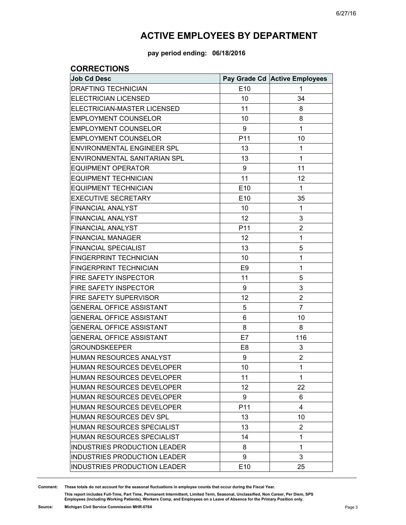**pay period ending: 06/18/2016**

### **CORRECTIONS**

| <b>Job Cd Desc</b>                  |                 | Pay Grade Cd Active Employees |
|-------------------------------------|-----------------|-------------------------------|
| <b>DRAFTING TECHNICIAN</b>          | E <sub>10</sub> | 1                             |
| <b>ELECTRICIAN LICENSED</b>         | 10              | 34                            |
| ELECTRICIAN-MASTER LICENSED         | 11              | 8                             |
| <b>EMPLOYMENT COUNSELOR</b>         | 10              | 8                             |
| <b>EMPLOYMENT COUNSELOR</b>         | 9               | 1                             |
| <b>EMPLOYMENT COUNSELOR</b>         | P11             | 10                            |
| ENVIRONMENTAL ENGINEER SPL          | 13              | 1                             |
| ENVIRONMENTAL SANITARIAN SPL        | 13              | 1                             |
| <b>EQUIPMENT OPERATOR</b>           | 9               | 11                            |
| <b>EQUIPMENT TECHNICIAN</b>         | 11              | 12                            |
| <b>EQUIPMENT TECHNICIAN</b>         | E10             | $\mathbf{1}$                  |
| <b>EXECUTIVE SECRETARY</b>          | E10             | 35                            |
| <b>FINANCIAL ANALYST</b>            | 10              | 1                             |
| <b>FINANCIAL ANALYST</b>            | 12              | 3                             |
| <b>FINANCIAL ANALYST</b>            | P11             | $\overline{2}$                |
| <b>FINANCIAL MANAGER</b>            | 12              | 1                             |
| <b>FINANCIAL SPECIALIST</b>         | 13              | 5                             |
| FINGERPRINT TECHNICIAN              | 10              | 1                             |
| <b>FINGERPRINT TECHNICIAN</b>       | E <sub>9</sub>  | 1                             |
| FIRE SAFETY INSPECTOR               | 11              | 5                             |
| <b>FIRE SAFETY INSPECTOR</b>        | 9               | 3                             |
| FIRE SAFETY SUPERVISOR              | 12              | $\overline{2}$                |
| <b>GENERAL OFFICE ASSISTANT</b>     | 5               | $\overline{7}$                |
| <b>GENERAL OFFICE ASSISTANT</b>     | 6               | 10                            |
| <b>GENERAL OFFICE ASSISTANT</b>     | 8               | 8                             |
| <b>GENERAL OFFICE ASSISTANT</b>     | E7              | 116                           |
| <b>GROUNDSKEEPER</b>                | E8              | 3                             |
| HUMAN RESOURCES ANALYST             | 9               | $\overline{2}$                |
| HUMAN RESOURCES DEVELOPER           | 10              | $\mathbf{1}$                  |
| HUMAN RESOURCES DEVELOPER           | 11              | $\mathbf{1}$                  |
| HUMAN RESOURCES DEVELOPER           | 12              | 22                            |
| <b>HUMAN RESOURCES DEVELOPER</b>    | 9               | 6                             |
| <b>HUMAN RESOURCES DEVELOPER</b>    | P11             | 4                             |
| HUMAN RESOURCES DEV SPL             | 13              | 10                            |
| HUMAN RESOURCES SPECIALIST          | 13              | 2                             |
| HUMAN RESOURCES SPECIALIST          | 14              | 1                             |
| <b>INDUSTRIES PRODUCTION LEADER</b> | 8               | 1                             |
| <b>INDUSTRIES PRODUCTION LEADER</b> | 9               | 3                             |
| <b>INDUSTRIES PRODUCTION LEADER</b> | E10             | 25                            |

**Comment: These totals do not account for the seasonal fluctuations in employee counts that occur during the Fiscal Year.**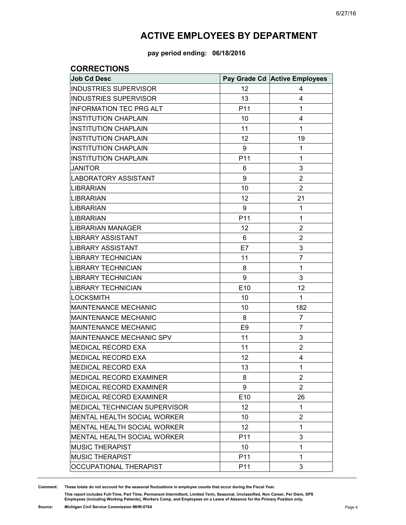**pay period ending: 06/18/2016**

#### **CORRECTIONS**

| <b>Job Cd Desc</b>                   |                 | Pay Grade Cd Active Employees |
|--------------------------------------|-----------------|-------------------------------|
| <b>INDUSTRIES SUPERVISOR</b>         | 12              | 4                             |
| <b>INDUSTRIES SUPERVISOR</b>         | 13              | 4                             |
| <b>INFORMATION TEC PRG ALT</b>       | P <sub>11</sub> | 1                             |
| <b>INSTITUTION CHAPLAIN</b>          | 10              | 4                             |
| <b>INSTITUTION CHAPLAIN</b>          | 11              | 1                             |
| <b>INSTITUTION CHAPLAIN</b>          | 12              | 19                            |
| <b>INSTITUTION CHAPLAIN</b>          | 9               | 1                             |
| <b>INSTITUTION CHAPLAIN</b>          | P11             | 1                             |
| <b>JANITOR</b>                       | 6               | 3                             |
| <b>LABORATORY ASSISTANT</b>          | 9               | $\overline{2}$                |
| LIBRARIAN                            | 10              | $\overline{2}$                |
| <b>LIBRARIAN</b>                     | 12              | 21                            |
| LIBRARIAN                            | 9               | 1                             |
| <b>LIBRARIAN</b>                     | P11             | 1                             |
| LIBRARIAN MANAGER                    | 12              | $\overline{2}$                |
| LIBRARY ASSISTANT                    | 6               | $\overline{2}$                |
| LIBRARY ASSISTANT                    | E7              | 3                             |
| <b>LIBRARY TECHNICIAN</b>            | 11              | $\overline{7}$                |
| <b>LIBRARY TECHNICIAN</b>            | 8               | 1                             |
| <b>LIBRARY TECHNICIAN</b>            | 9               | 3                             |
| <b>LIBRARY TECHNICIAN</b>            | E10             | 12                            |
| <b>LOCKSMITH</b>                     | 10              | 1                             |
| <b>MAINTENANCE MECHANIC</b>          | 10              | 182                           |
| MAINTENANCE MECHANIC                 | 8               | $\overline{7}$                |
| <b>MAINTENANCE MECHANIC</b>          | E <sub>9</sub>  | $\overline{7}$                |
| MAINTENANCE MECHANIC SPV             | 11              | 3                             |
| MEDICAL RECORD EXA                   | 11              | $\overline{2}$                |
| <b>MEDICAL RECORD EXA</b>            | 12              | 4                             |
| <b>MEDICAL RECORD EXA</b>            | 13              | $\mathbf{1}$                  |
| <b>MEDICAL RECORD EXAMINER</b>       | 8               | $\overline{2}$                |
| <b>MEDICAL RECORD EXAMINER</b>       | 9               | 2                             |
| <b>MEDICAL RECORD EXAMINER</b>       | E <sub>10</sub> | 26                            |
| <b>MEDICAL TECHNICIAN SUPERVISOR</b> | 12              | 1                             |
| <b>MENTAL HEALTH SOCIAL WORKER</b>   | 10              | $\overline{2}$                |
| <b>MENTAL HEALTH SOCIAL WORKER</b>   | 12              | 1                             |
| MENTAL HEALTH SOCIAL WORKER          | P <sub>11</sub> | 3                             |
| <b>MUSIC THERAPIST</b>               | 10              | 1                             |
| <b>MUSIC THERAPIST</b>               | P <sub>11</sub> | 1                             |
| OCCUPATIONAL THERAPIST               | P <sub>11</sub> | 3                             |

**Comment: These totals do not account for the seasonal fluctuations in employee counts that occur during the Fiscal Year.**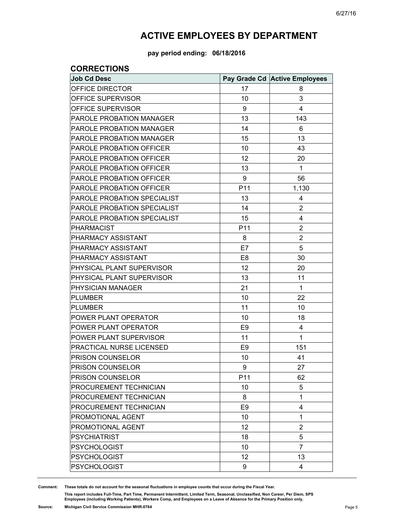**pay period ending: 06/18/2016**

### **CORRECTIONS**

| <b>Job Cd Desc</b>                 |                | Pay Grade Cd Active Employees |
|------------------------------------|----------------|-------------------------------|
| OFFICE DIRECTOR                    | 17             | 8                             |
| OFFICE SUPERVISOR                  | 10             | 3                             |
| OFFICE SUPERVISOR                  | 9              | 4                             |
| PAROLE PROBATION MANAGER           | 13             | 143                           |
| <b>PAROLE PROBATION MANAGER</b>    | 14             | 6                             |
| PAROLE PROBATION MANAGER           | 15             | 13                            |
| <b>PAROLE PROBATION OFFICER</b>    | 10             | 43                            |
| PAROLE PROBATION OFFICER           | 12             | 20                            |
| <b>PAROLE PROBATION OFFICER</b>    | 13             | 1                             |
| PAROLE PROBATION OFFICER           | 9              | 56                            |
| <b>PAROLE PROBATION OFFICER</b>    | P11            | 1,130                         |
| PAROLE PROBATION SPECIALIST        | 13             | 4                             |
| <b>PAROLE PROBATION SPECIALIST</b> | 14             | $\overline{2}$                |
| PAROLE PROBATION SPECIALIST        | 15             | 4                             |
| <b>PHARMACIST</b>                  | P11            | $\overline{2}$                |
| PHARMACY ASSISTANT                 | 8              | $\overline{2}$                |
| PHARMACY ASSISTANT                 | E7             | 5                             |
| PHARMACY ASSISTANT                 | E <sub>8</sub> | 30                            |
| PHYSICAL PLANT SUPERVISOR          | 12             | 20                            |
| PHYSICAL PLANT SUPERVISOR          | 13             | 11                            |
| PHYSICIAN MANAGER                  | 21             | 1                             |
| <b>PLUMBER</b>                     | 10             | 22                            |
| <b>PLUMBER</b>                     | 11             | 10                            |
| POWER PLANT OPERATOR               | 10             | 18                            |
| POWER PLANT OPERATOR               | E <sub>9</sub> | 4                             |
| POWER PLANT SUPERVISOR             | 11             | 1                             |
| PRACTICAL NURSE LICENSED           | E <sub>9</sub> | 151                           |
| PRISON COUNSELOR                   | 10             | 41                            |
| PRISON COUNSELOR                   | 9              | 27                            |
| PRISON COUNSELOR                   | P11            | 62                            |
| PROCUREMENT TECHNICIAN             | 10             | 5                             |
| PROCUREMENT TECHNICIAN             | 8              | 1                             |
| PROCUREMENT TECHNICIAN             | E <sub>9</sub> | 4                             |
| PROMOTIONAL AGENT                  | 10             | 1                             |
| PROMOTIONAL AGENT                  | 12             | $\overline{2}$                |
| <b>PSYCHIATRIST</b>                | 18             | 5                             |
| <b>PSYCHOLOGIST</b>                | 10             | $\overline{7}$                |
| <b>PSYCHOLOGIST</b>                | 12             | 13                            |
| <b>PSYCHOLOGIST</b>                | 9              | 4                             |

**Comment: These totals do not account for the seasonal fluctuations in employee counts that occur during the Fiscal Year.**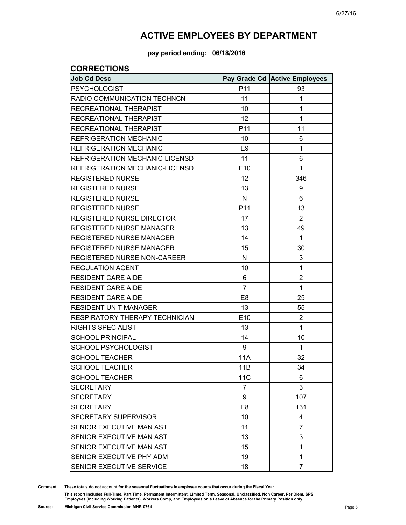**pay period ending: 06/18/2016**

### **CORRECTIONS**

| <b>Job Cd Desc</b>               |                | Pay Grade Cd Active Employees |
|----------------------------------|----------------|-------------------------------|
| <b>PSYCHOLOGIST</b>              | P11            | 93                            |
| RADIO COMMUNICATION TECHNCN      | 11             | 1                             |
| RECREATIONAL THERAPIST           | 10             | 1                             |
| RECREATIONAL THERAPIST           | 12             | 1                             |
| RECREATIONAL THERAPIST           | P11            | 11                            |
| <b>REFRIGERATION MECHANIC</b>    | 10             | 6                             |
| <b>REFRIGERATION MECHANIC</b>    | E <sub>9</sub> | 1                             |
| REFRIGERATION MECHANIC-LICENSD   | 11             | 6                             |
| REFRIGERATION MECHANIC-LICENSD   | E10            | 1                             |
| <b>REGISTERED NURSE</b>          | 12             | 346                           |
| <b>REGISTERED NURSE</b>          | 13             | 9                             |
| <b>REGISTERED NURSE</b>          | N              | 6                             |
| <b>REGISTERED NURSE</b>          | P11            | 13                            |
| <b>REGISTERED NURSE DIRECTOR</b> | 17             | $\overline{2}$                |
| <b>REGISTERED NURSE MANAGER</b>  | 13             | 49                            |
| REGISTERED NURSE MANAGER         | 14             | 1                             |
| <b>REGISTERED NURSE MANAGER</b>  | 15             | 30                            |
| REGISTERED NURSE NON-CAREER      | N              | 3                             |
| <b>REGULATION AGENT</b>          | 10             | 1                             |
| <b>RESIDENT CARE AIDE</b>        | 6              | $\overline{2}$                |
| <b>RESIDENT CARE AIDE</b>        | 7              | 1                             |
| <b>RESIDENT CARE AIDE</b>        | E <sub>8</sub> | 25                            |
| <b>RESIDENT UNIT MANAGER</b>     | 13             | 55                            |
| RESPIRATORY THERAPY TECHNICIAN   | E10            | $\overline{2}$                |
| <b>RIGHTS SPECIALIST</b>         | 13             | 1                             |
| <b>SCHOOL PRINCIPAL</b>          | 14             | 10                            |
| <b>SCHOOL PSYCHOLOGIST</b>       | 9              | 1                             |
| <b>SCHOOL TEACHER</b>            | 11A            | 32                            |
| <b>SCHOOL TEACHER</b>            | 11B            | 34                            |
| <b>SCHOOL TEACHER</b>            | <b>11C</b>     | 6                             |
| <b>SECRETARY</b>                 | 7              | 3                             |
| <b>SECRETARY</b>                 | 9              | 107                           |
| <b>SECRETARY</b>                 | E <sub>8</sub> | 131                           |
| <b>SECRETARY SUPERVISOR</b>      | 10             | 4                             |
| SENIOR EXECUTIVE MAN AST         | 11             | 7                             |
| SENIOR EXECUTIVE MAN AST         | 13             | 3                             |
| SENIOR EXECUTIVE MAN AST         | 15             | 1                             |
| SENIOR EXECUTIVE PHY ADM         | 19             | 1                             |
| SENIOR EXECUTIVE SERVICE         | 18             | $\overline{7}$                |

**Comment: These totals do not account for the seasonal fluctuations in employee counts that occur during the Fiscal Year.**